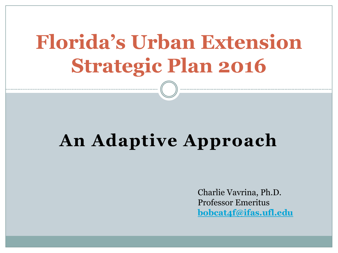# **Florida's Urban Extension Strategic Plan 2016**

# **An Adaptive Approach**

Charlie Vavrina, Ph.D. Professor Emeritus **[bobcat4f@ifas.ufl.edu](mailto:bobcat4f@ifas.ufl.edu)**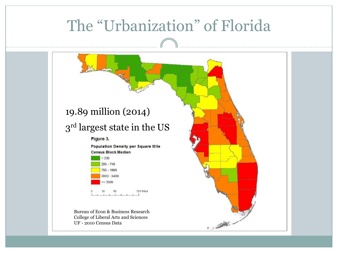#### The "Urbanization" of Florida 19.89 million (2014)  $3^{\rm rd}$  largest state in the US Figure 3. **Population Density per Square Mile Census Block Median**  $<250$  $250 - 749$ 750 - 1999 2000 - 3499  $= 3500$ 120 Miles Bureau of Econ & Business Research College of Liberal Arts and Sciences **CARL MARKET** UF - 2010 Census Data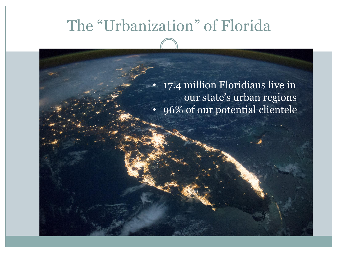#### The "Urbanization" of Florida

• 17.4 million Floridians live in our state's urban regions • 96% of our potential clientele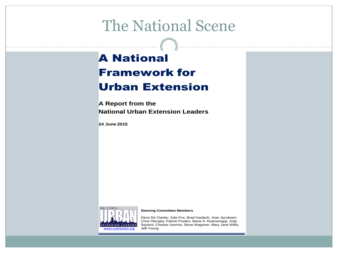#### The National Scene

#### A National Framework for Urban Extension

**A Report from the National Urban Extension Leaders**

**24 June 2015**



#### **Steering Committee Members**

Deno De Ciantis; Julie Fox; Brad Gaolach; Joan Jacobsen; Chris Obropta; Patrick Proden; Marie A. Ruemenapp; Jody Squires; Charles Vavrina; Steve Wagoner; Mary Jane Willis;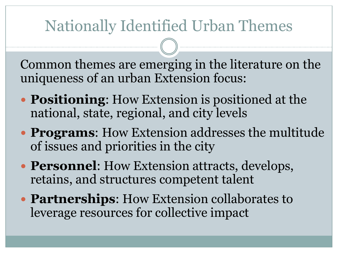# Nationally Identified Urban Themes

Common themes are emerging in the literature on the uniqueness of an urban Extension focus:

- **Positioning**: How Extension is positioned at the national, state, regional, and city levels
- **Programs**: How Extension addresses the multitude of issues and priorities in the city
- **Personnel:** How Extension attracts, develops, retains, and structures competent talent
- **Partnerships**: How Extension collaborates to leverage resources for collective impact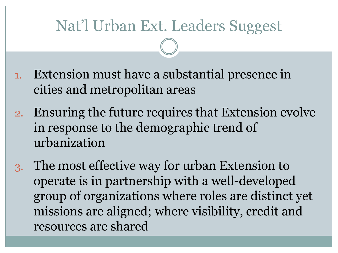#### Nat'l Urban Ext. Leaders Suggest

- 1. Extension must have a substantial presence in cities and metropolitan areas
- 2. Ensuring the future requires that Extension evolve in response to the demographic trend of urbanization
- 3. The most effective way for urban Extension to operate is in partnership with a well-developed group of organizations where roles are distinct yet missions are aligned; where visibility, credit and resources are shared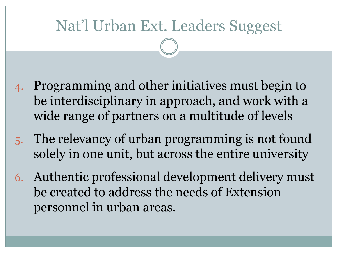#### Nat'l Urban Ext. Leaders Suggest

- 4. Programming and other initiatives must begin to be interdisciplinary in approach, and work with a wide range of partners on a multitude of levels
- 5. The relevancy of urban programming is not found solely in one unit, but across the entire university
- 6. Authentic professional development delivery must be created to address the needs of Extension personnel in urban areas.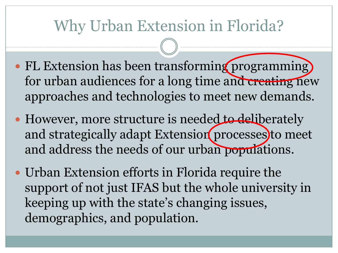#### Why Urban Extension in Florida?

- FL Extension has been transforming programming) for urban audiences for a long time and creating new approaches and technologies to meet new demands.
- However, more structure is needed to deliberately and strategically adapt Extension processes to meet and address the needs of our urban populations.
- Urban Extension efforts in Florida require the support of not just IFAS but the whole university in keeping up with the state's changing issues, demographics, and population.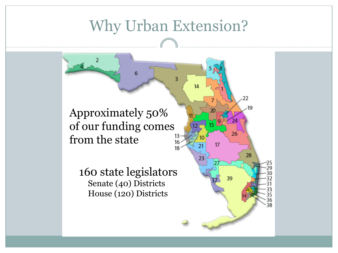# Why Urban Extension?

 $14$ 

21

23

22

26

39

 $17$ 

١g

28

Approximately 50% of our funding comes from the state

160 state legislators Senate (40) Districts House (120) Districts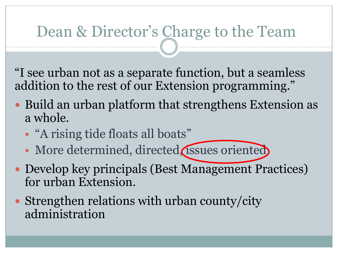#### Dean & Director's Charge to the Team

"I see urban not as a separate function, but a seamless addition to the rest of our Extension programming."

- Build an urban platform that strengthens Extension as a whole.
	- "A rising tide floats all boats"
	- More determined, directed, issues oriented
- Develop key principals (Best Management Practices) for urban Extension.
- Strengthen relations with urban county/city administration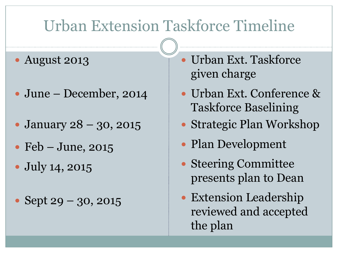#### Urban Extension Taskforce Timeline

#### August 2013

- June December, 2014
- January 28 30, 2015
- $\bullet$  Feb June, 2015
- July 14, 2015
- Sept  $29 30, 2015$
- Urban Ext. Taskforce given charge
- Urban Ext. Conference & Taskforce Baselining
- Strategic Plan Workshop
- Plan Development
- Steering Committee presents plan to Dean
- Extension Leadership reviewed and accepted the plan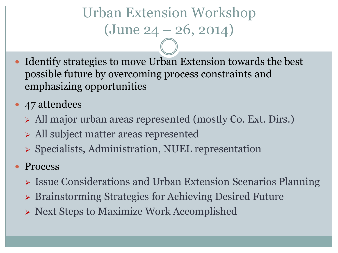# Urban Extension Workshop  $(June 24 - 26, 2014)$

- Identify strategies to move Urban Extension towards the best possible future by overcoming process constraints and emphasizing opportunities
- 47 attendees
	- All major urban areas represented (mostly Co. Ext. Dirs.)
	- All subject matter areas represented
	- $\triangleright$  Specialists, Administration, NUEL representation
- Process
	- > Issue Considerations and Urban Extension Scenarios Planning
	- Brainstorming Strategies for Achieving Desired Future
	- Next Steps to Maximize Work Accomplished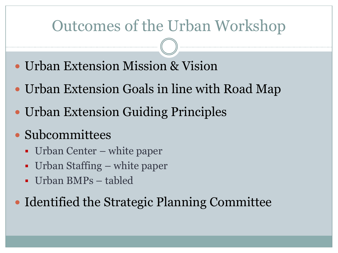#### Outcomes of the Urban Workshop

- Urban Extension Mission & Vision
- Urban Extension Goals in line with Road Map
- Urban Extension Guiding Principles
- Subcommittees
	- Urban Center white paper
	- Urban Staffing white paper
	- Urban BMPs tabled

• Identified the Strategic Planning Committee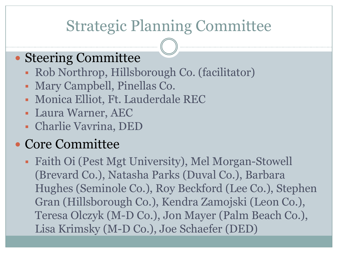#### Strategic Planning Committee

#### Steering Committee

- Rob Northrop, Hillsborough Co. (facilitator)
- Mary Campbell, Pinellas Co.
- Monica Elliot, Ft. Lauderdale REC
- Laura Warner, AEC
- Charlie Vavrina, DED

#### Core Committee

 Faith Oi (Pest Mgt University), Mel Morgan-Stowell (Brevard Co.), Natasha Parks (Duval Co.), Barbara Hughes (Seminole Co.), Roy Beckford (Lee Co.), Stephen Gran (Hillsborough Co.), Kendra Zamojski (Leon Co.), Teresa Olczyk (M-D Co.), Jon Mayer (Palm Beach Co.), Lisa Krimsky (M-D Co.), Joe Schaefer (DED)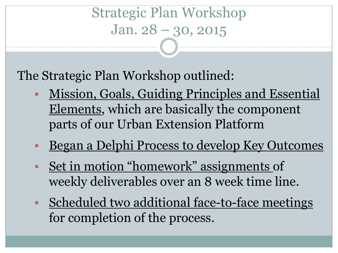Strategic Plan Workshop Jan. 28 – 30, 2015

The Strategic Plan Workshop outlined:

- Mission, Goals, Guiding Principles and Essential Elements, which are basically the component parts of our Urban Extension Platform
- Began a Delphi Process to develop Key Outcomes
- Set in motion "homework" assignments of weekly deliverables over an 8 week time line.
- Scheduled two additional face-to-face meetings for completion of the process.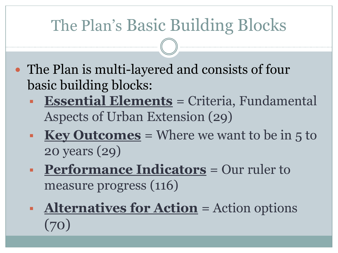# The Plan's Basic Building Blocks

- The Plan is multi-layered and consists of four basic building blocks:
	- **Essential Elements** = Criteria, Fundamental Aspects of Urban Extension (29)
	- **Key Outcomes** = Where we want to be in 5 to 20 years (29)
	- **Performance Indicators** = Our ruler to measure progress (116)
	- **Alternatives for Action** = Action options (70)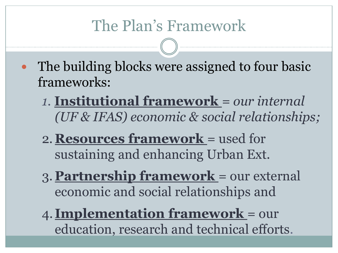# The Plan's Framework

- The building blocks were assigned to four basic frameworks:
	- *1.* **Institutional framework** *= our internal (UF & IFAS) economic & social relationships;*
	- 2.**Resources framework** = used for sustaining and enhancing Urban Ext.
	- 3. **Partnership framework** = our external economic and social relationships and
	- 4. **Implementation framework** = our education, research and technical efforts.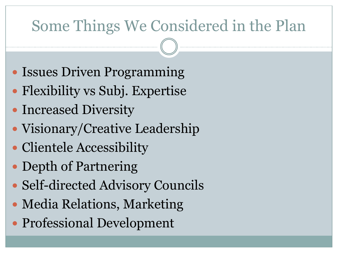# Some Things We Considered in the Plan

- Issues Driven Programming
- Flexibility vs Subj. Expertise
- Increased Diversity
- Visionary/Creative Leadership
- Clientele Accessibility
- Depth of Partnering
- Self-directed Advisory Councils
- Media Relations, Marketing
- Professional Development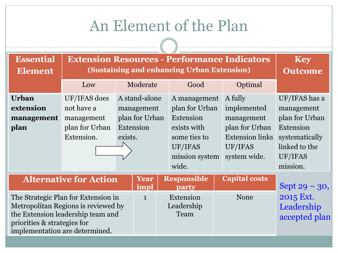#### An Element of the Plan

| <b>Essential</b><br><b>Element</b>                                                                                                                                               | <b>Extension Resources - Performance Indicators</b><br>(Sustaining and enhancing Urban Extension) | <b>Key</b><br><b>Outcome</b>                                          |              |                                                                                                                  |                                                                                                             |                                                                                                                      |  |  |  |  |  |  |
|----------------------------------------------------------------------------------------------------------------------------------------------------------------------------------|---------------------------------------------------------------------------------------------------|-----------------------------------------------------------------------|--------------|------------------------------------------------------------------------------------------------------------------|-------------------------------------------------------------------------------------------------------------|----------------------------------------------------------------------------------------------------------------------|--|--|--|--|--|--|
|                                                                                                                                                                                  | Low                                                                                               |                                                                       | Moderate     | Good                                                                                                             | Optimal                                                                                                     |                                                                                                                      |  |  |  |  |  |  |
| <b>Urban</b><br>extension<br>management<br>plan                                                                                                                                  | UF/IFAS does<br>not have a<br>management<br>plan for Urban<br>Extension.                          | A stand-alone<br>management<br>plan for Urban<br>Extension<br>exists. |              | A management<br>plan for Urban<br>Extension<br>exists with<br>some ties to<br>UF/IFAS<br>mission system<br>wide. | A fully<br>implemented<br>management<br>plan for Urban<br><b>Extension links</b><br>UF/IFAS<br>system wide. | UF/IFAS has a<br>management<br>plan for Urban<br>Extension<br>systematically<br>linked to the<br>UF/IFAS<br>mission. |  |  |  |  |  |  |
|                                                                                                                                                                                  | <b>Alternative for Action</b>                                                                     |                                                                       | Year<br>impl | <b>Responsible</b><br>party                                                                                      | <b>Capital costs</b>                                                                                        | Sept $29 - 30$ ,                                                                                                     |  |  |  |  |  |  |
| The Strategic Plan for Extension in<br>Metropolitan Regions is reviewed by<br>the Extension leadership team and<br>priorities & strategies for<br>implementation are determined. |                                                                                                   |                                                                       | $\mathbf{1}$ | Extension<br>Leadership<br>Team                                                                                  | <b>None</b>                                                                                                 | 2015 Ext.<br>Leadership<br>accepted plan                                                                             |  |  |  |  |  |  |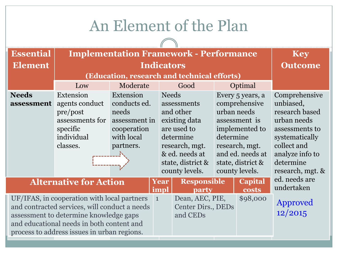#### An Element of the Plan

 $\bigcap$ 

| <b>Essential</b>                                                                                                                                                                                                                   | <b>Implementation Framework - Performance</b>                                                    | <b>Key</b>                                                                                    |              |                                                                                                                                                  |                                                                                                                                                                               |                     |                                                                                                                                                                    |  |  |  |  |
|------------------------------------------------------------------------------------------------------------------------------------------------------------------------------------------------------------------------------------|--------------------------------------------------------------------------------------------------|-----------------------------------------------------------------------------------------------|--------------|--------------------------------------------------------------------------------------------------------------------------------------------------|-------------------------------------------------------------------------------------------------------------------------------------------------------------------------------|---------------------|--------------------------------------------------------------------------------------------------------------------------------------------------------------------|--|--|--|--|
| <b>Element</b>                                                                                                                                                                                                                     |                                                                                                  | <b>Outcome</b>                                                                                |              |                                                                                                                                                  |                                                                                                                                                                               |                     |                                                                                                                                                                    |  |  |  |  |
|                                                                                                                                                                                                                                    | (Education, research and technical efforts)                                                      |                                                                                               |              |                                                                                                                                                  |                                                                                                                                                                               |                     |                                                                                                                                                                    |  |  |  |  |
|                                                                                                                                                                                                                                    | Low                                                                                              | Moderate                                                                                      |              | Good                                                                                                                                             |                                                                                                                                                                               | Optimal             |                                                                                                                                                                    |  |  |  |  |
| <b>Needs</b><br>assessment                                                                                                                                                                                                         | Extension<br>agents conduct<br>pre/post<br>assessments for<br>specific<br>individual<br>classes. | Extension<br>conducts ed.<br>needs<br>assessment in<br>cooperation<br>with local<br>partners. | <b>Needs</b> | assessments<br>and other<br>existing data<br>are used to<br>determine<br>research, mgt.<br>& ed. needs at<br>state, district &<br>county levels. | Every 5 years, a<br>comprehensive<br>urban needs<br>assessment is<br>implemented to<br>determine<br>research, mgt.<br>and ed. needs at<br>state, district &<br>county levels. |                     | Comprehensive<br>unbiased,<br>research based<br>urban needs<br>assessments to<br>systematically<br>collect and<br>analyze info to<br>determine<br>research, mgt. & |  |  |  |  |
| <b>Alternative for Action</b>                                                                                                                                                                                                      |                                                                                                  |                                                                                               | Year<br>impl | <b>Responsible</b><br>party                                                                                                                      |                                                                                                                                                                               | Capital<br>costs    | ed. needs are<br>undertaken                                                                                                                                        |  |  |  |  |
| UF/IFAS, in cooperation with local partners<br>and contracted services, will conduct a needs<br>assessment to determine knowledge gaps<br>and educational needs in both content and<br>process to address issues in urban regions. |                                                                                                  |                                                                                               | $\mathbf{1}$ | Dean, AEC, PIE,<br>\$98,000<br>Center Dirs., DEDs<br>and CEDs                                                                                    |                                                                                                                                                                               | Approved<br>12/2015 |                                                                                                                                                                    |  |  |  |  |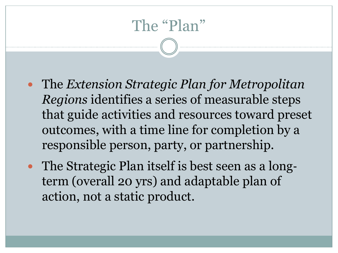# The "Plan"

- The *Extension Strategic Plan for Metropolitan Regions* identifies a series of measurable steps that guide activities and resources toward preset outcomes, with a time line for completion by a responsible person, party, or partnership.
- The Strategic Plan itself is best seen as a longterm (overall 20 yrs) and adaptable plan of action, not a static product.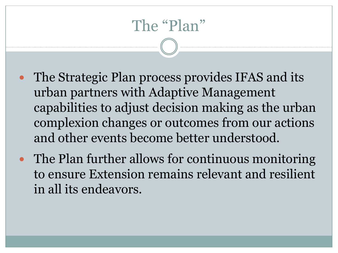# The "Plan"

- The Strategic Plan process provides IFAS and its urban partners with Adaptive Management capabilities to adjust decision making as the urban complexion changes or outcomes from our actions and other events become better understood.
- The Plan further allows for continuous monitoring to ensure Extension remains relevant and resilient in all its endeavors.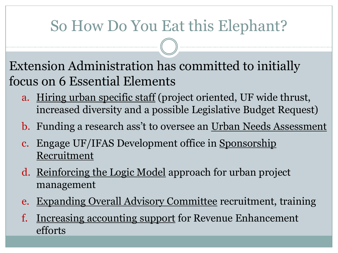# So How Do You Eat this Elephant?

Extension Administration has committed to initially focus on 6 Essential Elements

- a. Hiring urban specific staff (project oriented, UF wide thrust, increased diversity and a possible Legislative Budget Request)
- b. Funding a research ass't to oversee an Urban Needs Assessment
- c. Engage UF/IFAS Development office in Sponsorship Recruitment
- d. Reinforcing the Logic Model approach for urban project management
- e. Expanding Overall Advisory Committee recruitment, training
- f. Increasing accounting support for Revenue Enhancement efforts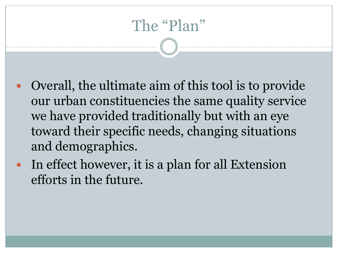# The "Plan"

- Overall, the ultimate aim of this tool is to provide our urban constituencies the same quality service we have provided traditionally but with an eye toward their specific needs, changing situations and demographics.
- In effect however, it is a plan for all Extension efforts in the future.